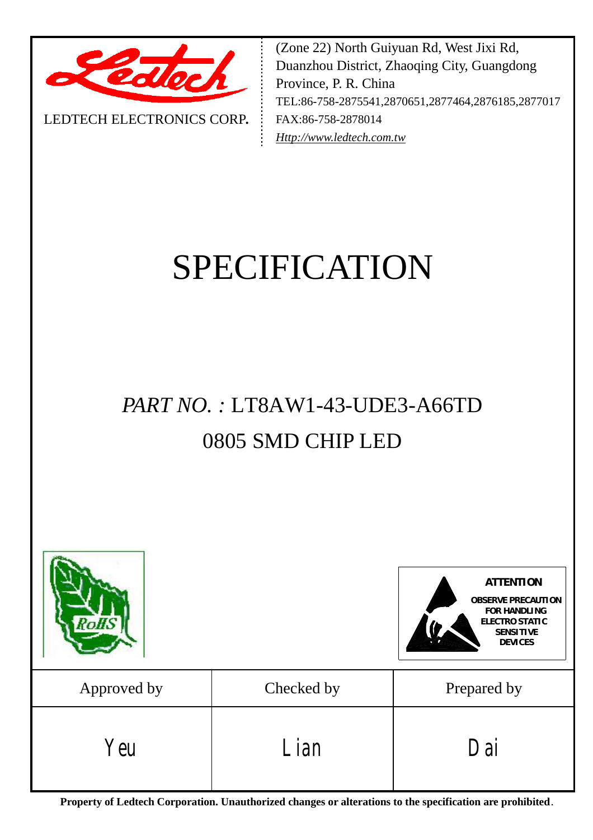

LEDTECH ELECTRONICS CORP**.**

(Zone 22) North Guiyuan Rd, West Jixi Rd, Duanzhou District, Zhaoqing City, Guangdong Province, P. R. China TEL:86-758-2875541,2870651,2877464,2876185,2877017 FAX:86-758-2878014 *[Http://www.ledtech.com.tw](http://www.ledtech.com.tw)*

# SPECIFICATION

## *PART NO. :* LT8AW1-43-UDE3-A66TD 0805 SMD CHIP LED



**Property of Ledtech Corporation. Unauthorized changes or alterations to the specification are prohibited***.*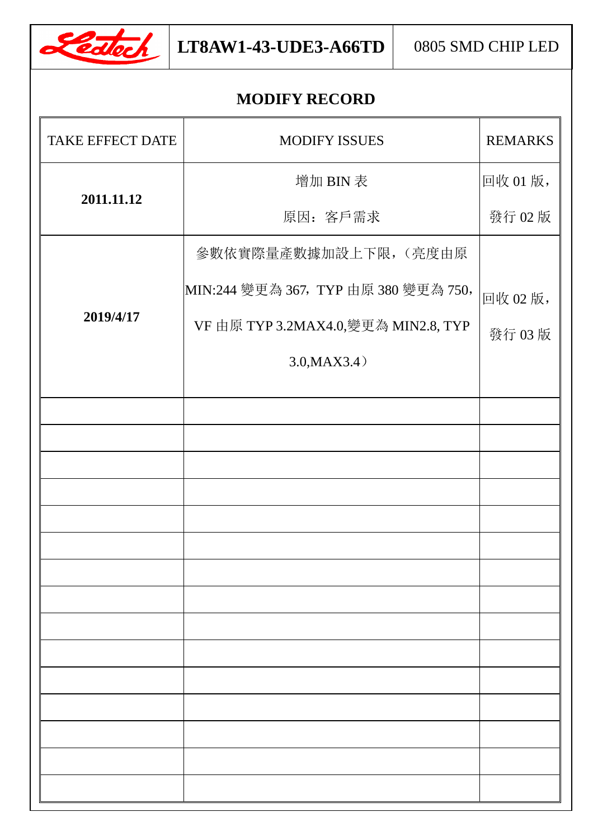

## **MODIFY RECORD**

| <b>TAKE EFFECT DATE</b> | <b>MODIFY ISSUES</b>                 | <b>REMARKS</b> |
|-------------------------|--------------------------------------|----------------|
|                         | 增加 BIN 表                             | 回收01版,         |
| 2011.11.12              | 原因: 客戶需求                             | 發行 02版         |
|                         | 參數依實際量產數據加設上下限,(亮度由原                 |                |
|                         | MIN:244 變更為 367, TYP 由原 380 變更為 750, | 回收02版,         |
| 2019/4/17               | VF 由原 TYP 3.2MAX4.0,變更為 MIN2.8, TYP  | 發行 03版         |
|                         | 3.0, MAX3.4)                         |                |
|                         |                                      |                |
|                         |                                      |                |
|                         |                                      |                |
|                         |                                      |                |
|                         |                                      |                |
|                         |                                      |                |
|                         |                                      |                |
|                         |                                      |                |
|                         |                                      |                |
|                         |                                      |                |
|                         |                                      |                |
|                         |                                      |                |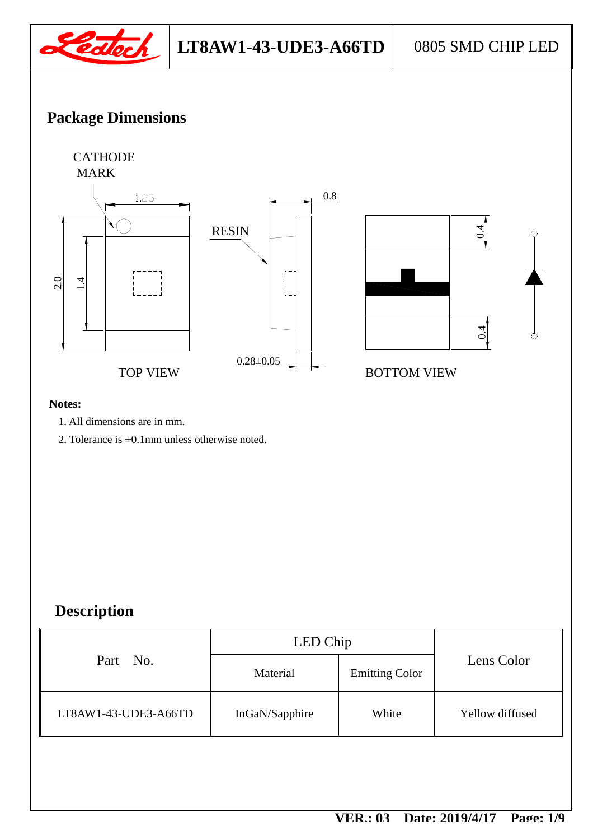

## **Package Dimensions**



#### **Notes:**

- 1. All dimensions are in mm.
- 2. Tolerance is ±0.1mm unless otherwise noted.

## **Description**

|                      | LED Chip       |                       |                 |
|----------------------|----------------|-----------------------|-----------------|
| Part No.             | Material       | <b>Emitting Color</b> | Lens Color      |
| LT8AW1-43-UDE3-A66TD | InGaN/Sapphire | White                 | Yellow diffused |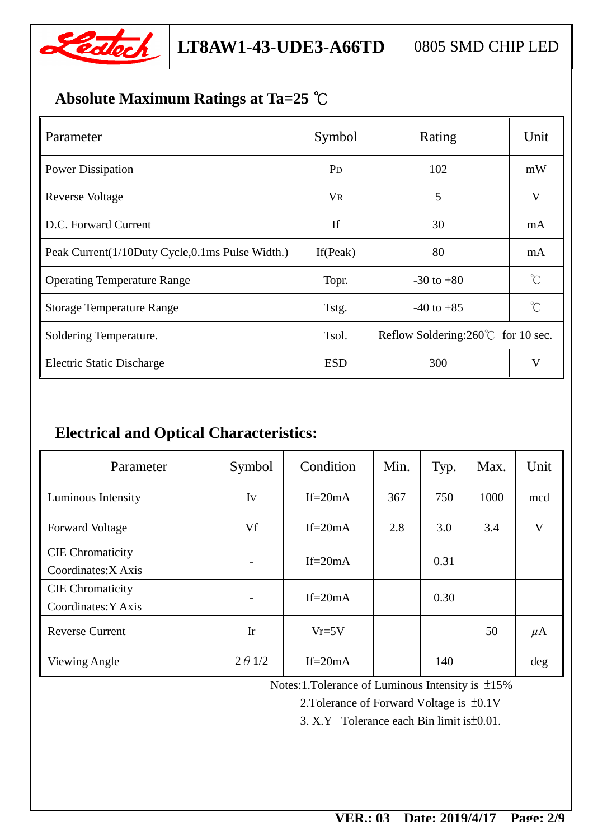

## **Absolute Maximum Ratings at Ta=25 ℃**

| Parameter                                       | Symbol         | Rating                                      | Unit                 |
|-------------------------------------------------|----------------|---------------------------------------------|----------------------|
| <b>Power Dissipation</b>                        | P <sub>D</sub> | 102                                         | mW                   |
| <b>Reverse Voltage</b>                          | <b>VR</b>      | 5                                           | V                    |
| D.C. Forward Current                            | If             | 30                                          | mA                   |
| Peak Current(1/10Duty Cycle,0.1ms Pulse Width.) | If (Peak)      | 80                                          | mA                   |
| <b>Operating Temperature Range</b>              | Topr.          | $-30$ to $+80$                              | $^{\circ}C$          |
| <b>Storage Temperature Range</b>                | Tstg.          | $-40$ to $+85$                              | $\mathrm{C}^{\circ}$ |
| Soldering Temperature.                          | Tsol.          | Reflow Soldering: $260^{\circ}$ for 10 sec. |                      |
| <b>Electric Static Discharge</b>                | <b>ESD</b>     | 300                                         | $\rm V$              |

## **Electrical and Optical Characteristics:**

| Parameter                                      | Symbol         | Condition   | Min. | Typ. | Max. | Unit    |
|------------------------------------------------|----------------|-------------|------|------|------|---------|
| Luminous Intensity                             | Iv             | If= $20mA$  | 367  | 750  | 1000 | mcd     |
| <b>Forward Voltage</b>                         | Vf             | $If = 20mA$ | 2.8  | 3.0  | 3.4  | V       |
| <b>CIE</b> Chromaticity<br>Coordinates: X Axis |                | If= $20mA$  |      | 0.31 |      |         |
| <b>CIE</b> Chromaticity<br>Coordinates: Y Axis |                | If= $20mA$  |      | 0.30 |      |         |
| <b>Reverse Current</b>                         | Ir             | $Vr=5V$     |      |      | 50   | $\mu$ A |
| Viewing Angle                                  | $2 \theta$ 1/2 | If= $20mA$  |      | 140  |      | deg     |

Notes:1.Tolerance of Luminous Intensity is ±15%

2.Tolerance of Forward Voltage is ±0.1V

3. X.Y Tolerance each Bin limit is±0.01.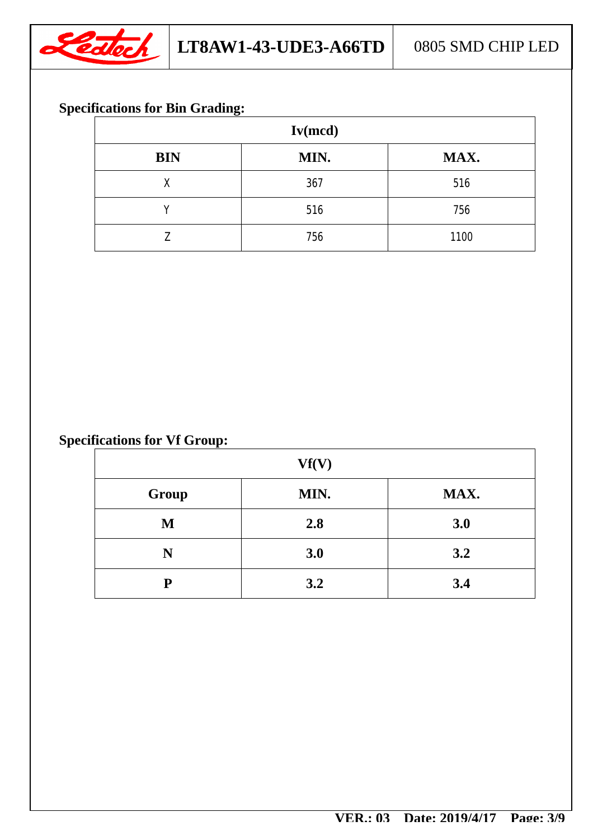

## **Specifications for Bin Grading:**

| Iv(mcd)    |      |      |  |  |
|------------|------|------|--|--|
| <b>BIN</b> | MIN. | MAX. |  |  |
| X          | 367  | 516  |  |  |
|            | 516  | 756  |  |  |
| 7.         | 756  | 1100 |  |  |

## **Specifications for Vf Group:**

| Vf(V) |      |      |  |
|-------|------|------|--|
| Group | MIN. | MAX. |  |
| M     | 2.8  | 3.0  |  |
| N     | 3.0  | 3.2  |  |
| P     | 3.2  | 3.4  |  |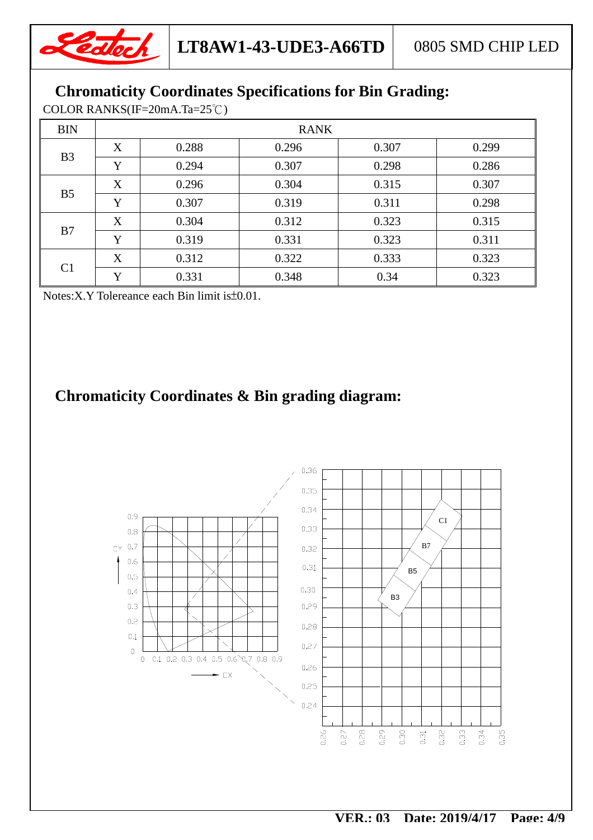

## **Chromaticity Coordinates Specifications for Bin Grading:**

COLOR RANKS(IF=20mA.Ta=25℃)

| <b>BIN</b>     | <b>RANK</b> |       |       |       |       |
|----------------|-------------|-------|-------|-------|-------|
| B <sub>3</sub> | X           | 0.288 | 0.296 | 0.307 | 0.299 |
|                | Y           | 0.294 | 0.307 | 0.298 | 0.286 |
|                | X           | 0.296 | 0.304 | 0.315 | 0.307 |
| B <sub>5</sub> | Y           | 0.307 | 0.319 | 0.311 | 0.298 |
| B7             | X           | 0.304 | 0.312 | 0.323 | 0.315 |
|                | Y           | 0.319 | 0.331 | 0.323 | 0.311 |
| C <sub>1</sub> | X           | 0.312 | 0.322 | 0.333 | 0.323 |
|                | Y           | 0.331 | 0.348 | 0.34  | 0.323 |

Notes:X.Y Tolereance each Bin limit is±0.01.

## **Chromaticity Coordinates & Bin grading diagram:**

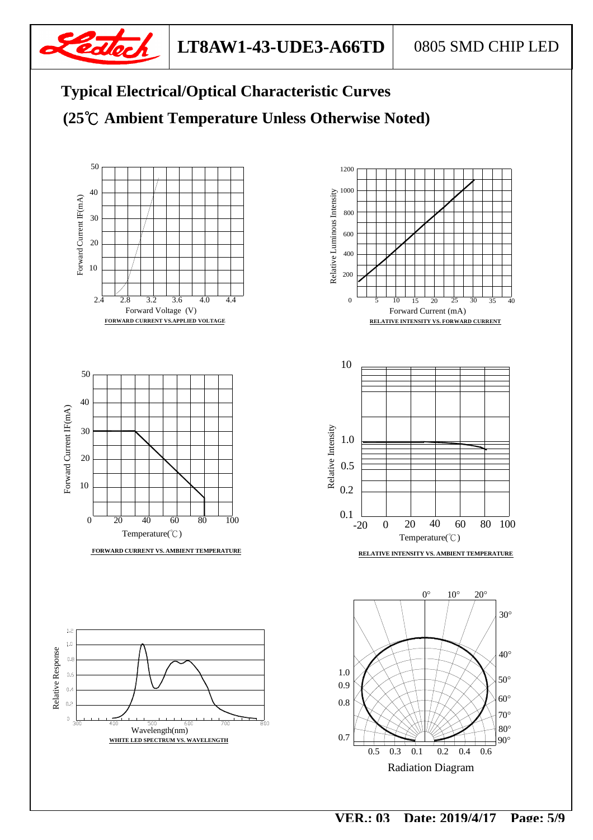







Radiation Diagram

90°

80°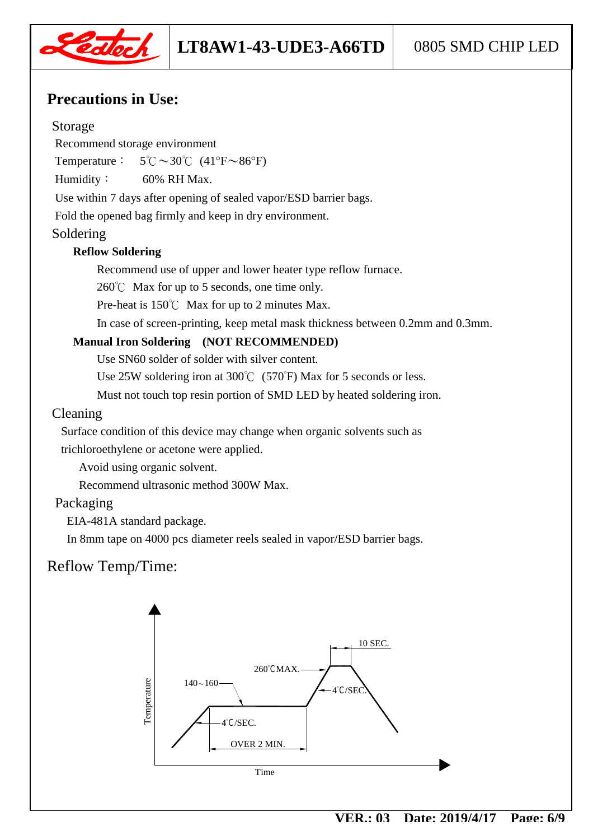

## **Precautions in Use:**

#### Storage

Recommend storage environment

Temperature:  $5^{\circ}\text{C} \sim 30^{\circ}\text{C}$  (41°F $\sim 86^{\circ}\text{F}$ )

Humidity: 60% RH Max.

Use within 7 days after opening of sealed vapor/ESD barrier bags.

Fold the opened bag firmly and keep in dry environment.

#### Soldering

#### **Reflow Soldering**

Recommend use of upper and lower heater type reflow furnace.

260℃ Max for up to 5 seconds, one time only.

Pre-heat is 150℃ Max for up to 2 minutes Max.

In case of screen-printing, keep metal mask thickness between 0.2mm and 0.3mm.

#### **Manual Iron Soldering (NOT RECOMMENDED)**

Use SN60 solder of solder with silver content.

Use 25W soldering iron at 300℃ (570°F) Max for 5 seconds or less.

Must not touch top resin portion of SMD LED by heated soldering iron.

#### Cleaning

 Surface condition of this device may change when organic solvents such as trichloroethylene or acetone were applied.

Avoid using organic solvent.

Recommend ultrasonic method 300W Max.

#### Packaging

EIA-481A standard package.

In 8mm tape on 4000 pcs diameter reels sealed in vapor/ESD barrier bags.

## Reflow Temp/Time:

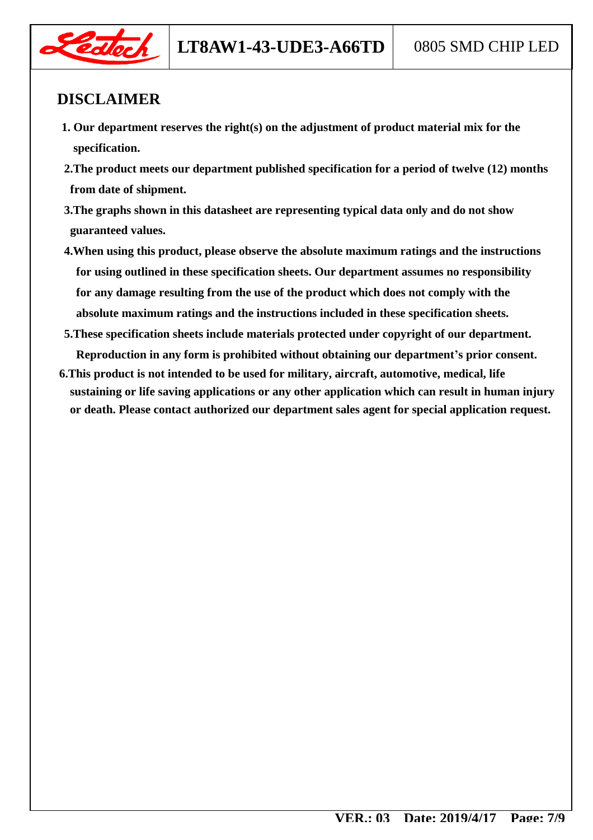

## **DISCLAIMER**

- **1. Our department reserves the right(s) on the adjustment of product material mix for the specification.**
- **2.The product meets our department published specification for a period of twelve (12) months from date of shipment.**
- **3.The graphs shown in this datasheet are representing typical data only and do not show guaranteed values.**
- **4.When using this product, please observe the absolute maximum ratings and the instructions for using outlined in these specification sheets. Our department assumes no responsibility for any damage resulting from the use of the product which does not comply with the absolute maximum ratings and the instructions included in these specification sheets.**
- **5.These specification sheets include materials protected under copyright of our department. Reproduction in any form is prohibited without obtaining our department's prior consent.**
- **6.This product is not intended to be used for military, aircraft, automotive, medical, life sustaining or life saving applications or any other application which can result in human injury or death. Please contact authorized our department sales agent for special application request.**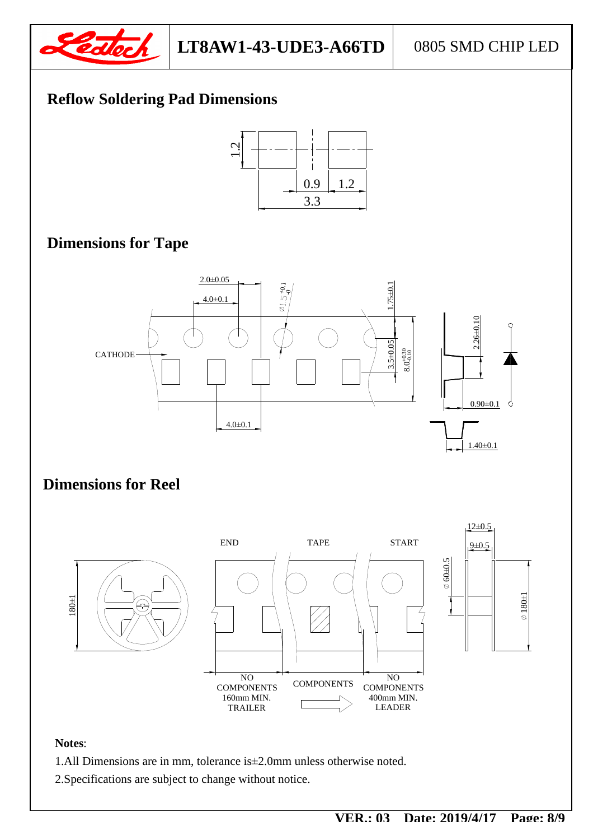

## **Reflow Soldering Pad Dimensions**



## **Dimensions for Tape**



### **Dimensions for Reel**



#### **Notes**:

- 1.All Dimensions are in mm, tolerance is±2.0mm unless otherwise noted.
- 2.Specifications are subject to change without notice.